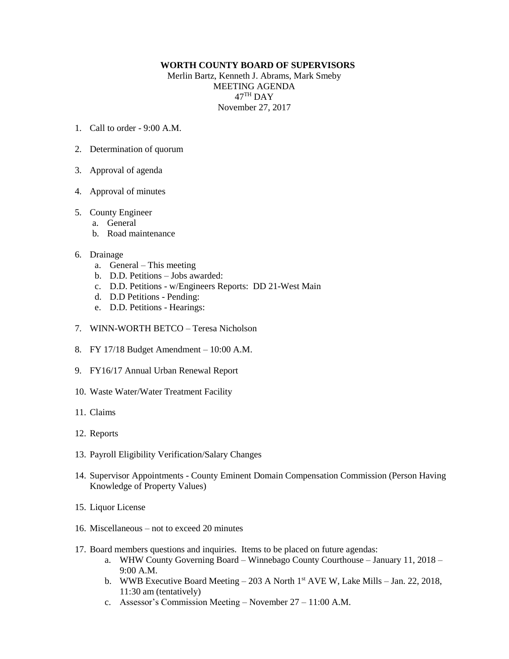## **WORTH COUNTY BOARD OF SUPERVISORS**

Merlin Bartz, Kenneth J. Abrams, Mark Smeby MEETING AGENDA  $47^{\mathrm{TH}}$  DAY November 27, 2017

- 1. Call to order 9:00 A.M.
- 2. Determination of quorum
- 3. Approval of agenda
- 4. Approval of minutes

## 5. County Engineer

- a. General
- b. Road maintenance

## 6. Drainage

- a. General This meeting
- b. D.D. Petitions Jobs awarded:
- c. D.D. Petitions w/Engineers Reports: DD 21-West Main
- d. D.D Petitions Pending:
- e. D.D. Petitions Hearings:
- 7. WINN-WORTH BETCO Teresa Nicholson
- 8. FY 17/18 Budget Amendment 10:00 A.M.
- 9. FY16/17 Annual Urban Renewal Report
- 10. Waste Water/Water Treatment Facility
- 11. Claims
- 12. Reports
- 13. Payroll Eligibility Verification/Salary Changes
- 14. Supervisor Appointments County Eminent Domain Compensation Commission (Person Having Knowledge of Property Values)
- 15. Liquor License
- 16. Miscellaneous not to exceed 20 minutes
- 17. Board members questions and inquiries. Items to be placed on future agendas:
	- a. WHW County Governing Board Winnebago County Courthouse January 11, 2018 9:00 A.M.
	- b. WWB Executive Board Meeting 203 A North 1<sup>st</sup> AVE W, Lake Mills Jan. 22, 2018, 11:30 am (tentatively)
	- c. Assessor's Commission Meeting November 27 11:00 A.M.